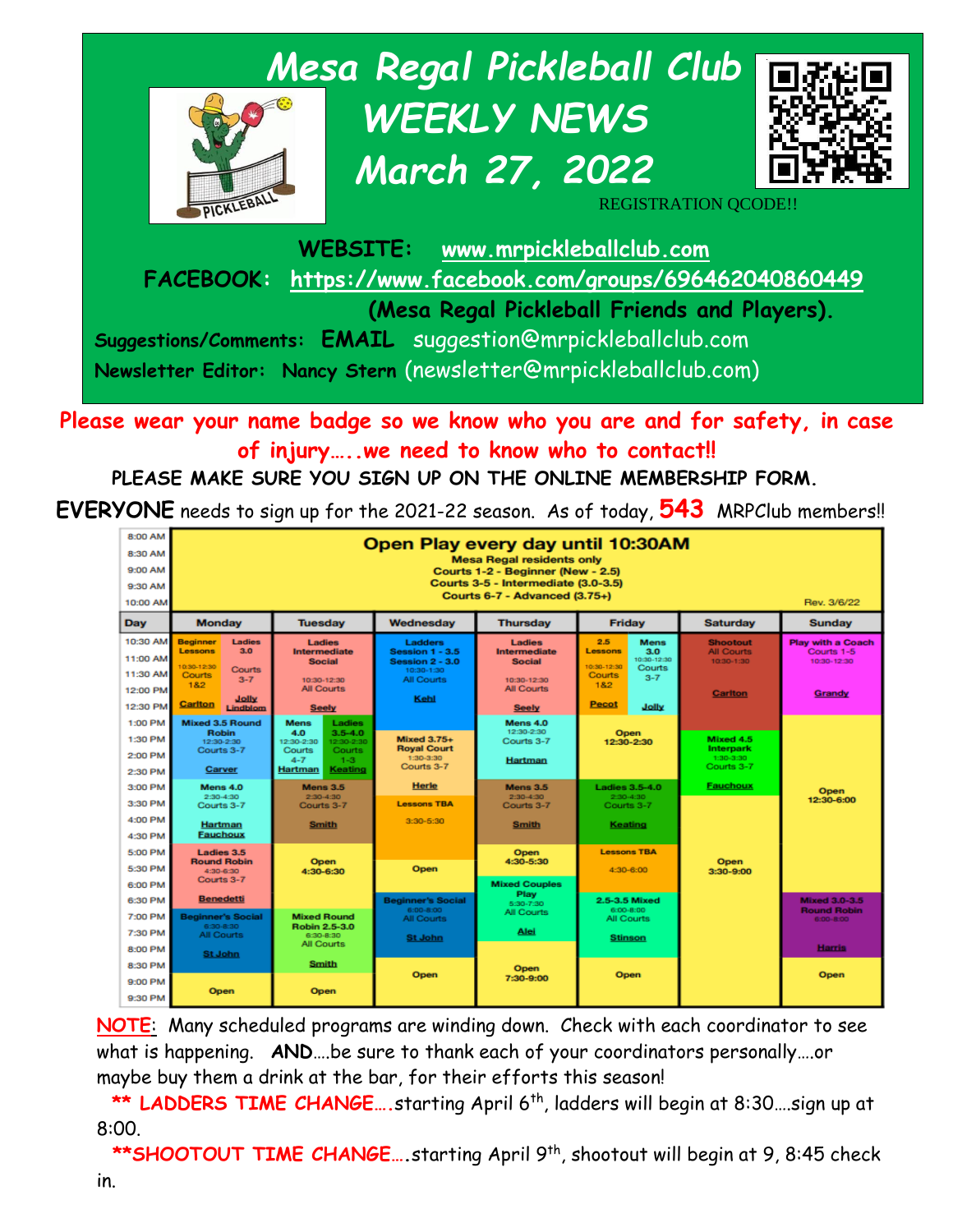

**Please wear your name badge so we know who you are and for safety, in case of injury…..we need to know who to contact!!**

**PLEASE MAKE SURE YOU SIGN UP ON THE ONLINE MEMBERSHIP FORM.** 

**EVERYONE** needs to sign up for the 2021-22 season. As of today, **543** MRPClub members!!

| 8:00 AM<br>8:30 AM<br>9:00 AM<br>9:30 AM<br>10:00 AM | Open Play every day until 10:30AM<br><b>Mesa Regal residents only</b><br>Courts 1-2 - Beginner (New - 2.5)<br>Courts 3-5 - Intermediate (3.0-3.5)<br>Courts 6-7 - Advanced (3.75+)<br>Rev. 3/6/22 |                                                                                                                                                |                                                                                  |                                                        |                                                                                                                 |                                                    |                                                         |
|------------------------------------------------------|---------------------------------------------------------------------------------------------------------------------------------------------------------------------------------------------------|------------------------------------------------------------------------------------------------------------------------------------------------|----------------------------------------------------------------------------------|--------------------------------------------------------|-----------------------------------------------------------------------------------------------------------------|----------------------------------------------------|---------------------------------------------------------|
| Day                                                  | <b>Monday</b>                                                                                                                                                                                     | <b>Tuesdav</b>                                                                                                                                 | Wednesdav                                                                        | <b>Thursday</b>                                        | <b>Friday</b>                                                                                                   | <b>Saturdav</b>                                    | <b>Sunday</b>                                           |
| 10:30 AM<br>11:00 AM<br>11:30 AM                     | <b>Beginner</b><br><b>Ladies</b><br>3.0<br><b>Lessons</b><br>10:30-12:30<br>Courts<br><b>Courts</b><br>$3 - 7$<br>1&2                                                                             | Ladies<br>Intermediate<br><b>Social</b><br>10:30-12:30                                                                                         | <b>Ladders</b><br>Session 1 - 3.5<br>Session 2 - 3.0<br>10:30-1:30<br>All Courts | Ladies<br>Intermediate<br><b>Social</b><br>10:30-12:30 | 2.5<br><b>Mens</b><br>3.0<br>Lessons<br>10:30-12:30<br>10:30-12:30<br>Courts<br><b>Courts</b><br>$3 - 7$<br>1&2 | <b>Shootout</b><br><b>All Courts</b><br>10:30-1:30 | <b>Play with a Coach</b><br>Courts 1-5<br>10:30-12:30   |
| 12:00 PM<br>12:30 PM                                 | Jolly<br>Cariton<br>Lindblom                                                                                                                                                                      | <b>All Courts</b><br><b>Seely</b>                                                                                                              | Kehl                                                                             | <b>All Courts</b><br><b>Seely</b>                      | <b>Pecot</b><br>Jolly                                                                                           | Cariton                                            | Grandy                                                  |
| 1:00 PM<br>1:30 PM<br>2:00 PM<br>2:30 PM             | <b>Mixed 3.5 Round</b><br><b>Robin</b><br>12:30-2:30<br>Courts 3-7<br>Carver                                                                                                                      | Ladies<br><b>Mens</b><br>$3.5 - 4.0$<br>4.0<br>12:30-2:30<br>12:30-2:30<br>Courts<br><b>Courts</b><br>$4 - 7$<br>$1 - 3$<br>Keating<br>Hartman | <b>Mixed 3.75+</b><br><b>Royal Court</b><br>1:30-3:30<br>Courts 3-7              | Mens 4.0<br>12:30-2:30<br>Courts 3-7<br>Hartman        | Open<br>12:30-2:30                                                                                              | Mixed 4.5<br>Interpark<br>1:30-3:30<br>Courts 3-7  |                                                         |
| 3:00 PM<br>3:30 PM                                   | Mens 4.0<br>2:30-4:30<br>Courts 3-7                                                                                                                                                               | <b>Mens 3.5</b><br>2:30-4:30<br>Courts 3-7                                                                                                     | <b>Herle</b><br><b>Lessons TBA</b>                                               | <b>Mens 3.5</b><br>2:30-4:30<br>Courts 3-7             | <b>Ladies 3.5-4.0</b><br>$2:30-4:30$<br>Courts 3-7                                                              | <b>Fauchoux</b>                                    | Open<br>12:30-6:00                                      |
| 4:00 PM<br>4:30 PM                                   | Hartman<br><b>Fauchoux</b>                                                                                                                                                                        | <b>Smith</b>                                                                                                                                   | 3:30-5:30                                                                        | <b>Smith</b>                                           | Keating                                                                                                         |                                                    |                                                         |
| 5:00 PM<br>5:30 PM<br>6:00 PM                        | Ladies 3.5<br><b>Round Robin</b><br>4:30-6:30<br>Courts 3-7                                                                                                                                       | <b>Open</b><br>4:30-6:30                                                                                                                       | Open                                                                             | Open<br>4:30-5:30<br><b>Mixed Couples</b>              | <b>Lessons TBA</b><br>$4:30 - 6:00$                                                                             | Open<br>3:30-9:00                                  |                                                         |
| 6:30 PM<br>7:00 PM                                   | <b>Benedetti</b><br><b>Beginner's Social</b>                                                                                                                                                      | <b>Mixed Round</b>                                                                                                                             | <b>Beginner's Social</b><br>6:00-8:00<br><b>All Courts</b>                       | Play<br>5:30-7:30<br><b>All Courts</b>                 | 2.5-3.5 Mixed<br>6:00-8:00<br>All Courts                                                                        |                                                    | <b>Mixed 3.0-3.5</b><br><b>Round Robin</b><br>6:00-8:00 |
| 7:30 PM<br>8:00 PM                                   | 6:30-8:30<br><b>All Courts</b><br><b>St John</b>                                                                                                                                                  | <b>Robin 2.5-3.0</b><br>6:30-8:30<br>All Courts                                                                                                | <b>St John</b>                                                                   | Alei                                                   | <b>Stinson</b>                                                                                                  |                                                    | <b>Harris</b>                                           |
| 8:30 PM                                              |                                                                                                                                                                                                   | Smith                                                                                                                                          | Open                                                                             | Open<br>7:30-9:00                                      | Open                                                                                                            |                                                    | Open                                                    |
| 9:00 PM<br>9:30 PM                                   | Open                                                                                                                                                                                              | Open                                                                                                                                           |                                                                                  |                                                        |                                                                                                                 |                                                    |                                                         |

**NOTE**: Many scheduled programs are winding down. Check with each coordinator to see what is happening. **AND**….be sure to thank each of your coordinators personally….or maybe buy them a drink at the bar, for their efforts this season!

**\*\* LADDERS TIME CHANGE….**starting April 6 th, ladders will begin at 8:30….sign up at 8:00.

**\*\*SHOOTOUT TIME CHANGE.... starting April 9<sup>th</sup>, shootout will begin at 9, 8:45 check**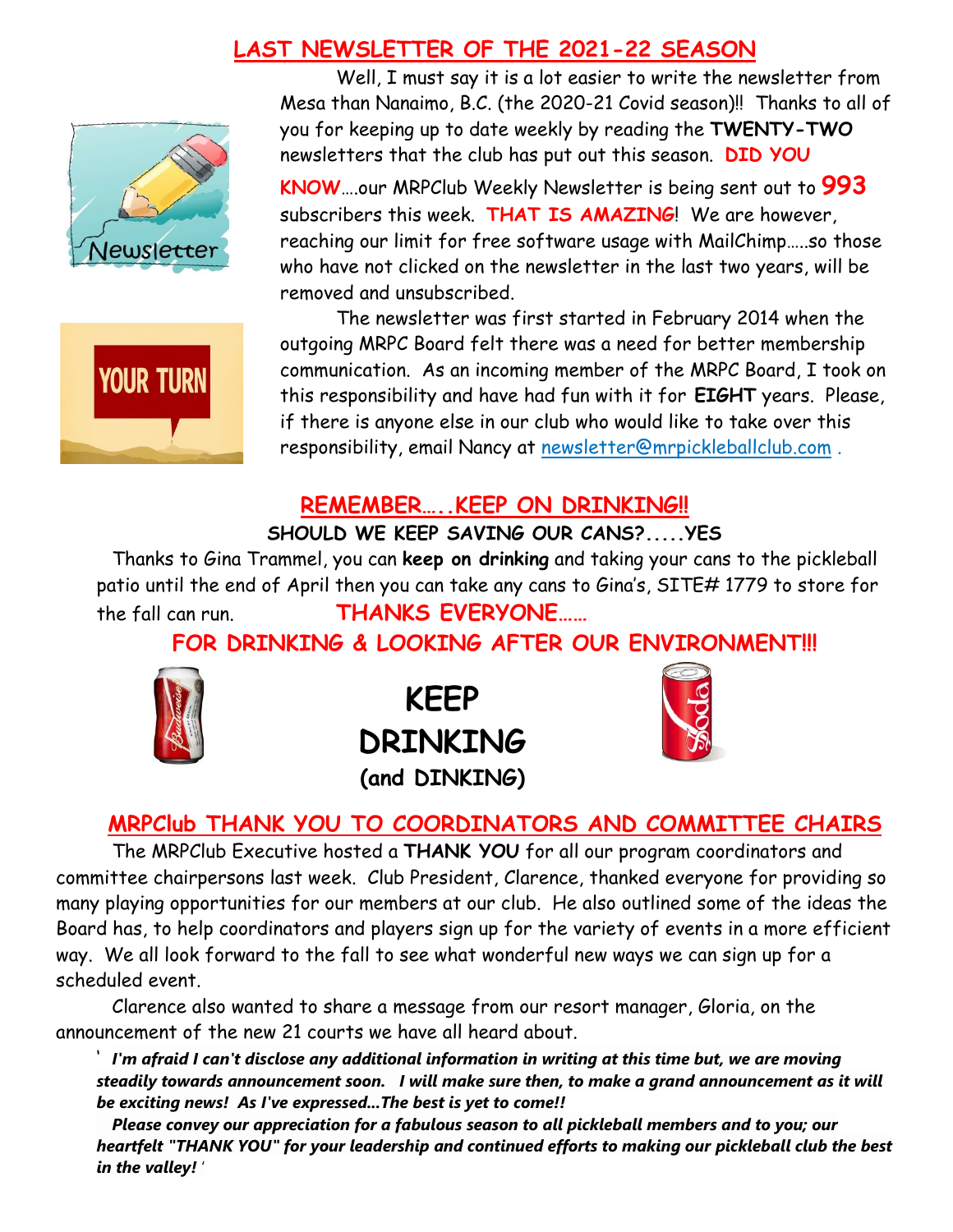## **LAST NEWSLETTER OF THE 2021-22 SEASON**





Well, I must say it is a lot easier to write the newsletter from Mesa than Nanaimo, B.C. (the 2020-21 Covid season)!! Thanks to all of you for keeping up to date weekly by reading the **TWENTY-TWO** newsletters that the club has put out this season. **DID YOU** 

**KNOW**….our MRPClub Weekly Newsletter is being sent out to **993** subscribers this week. **THAT IS AMAZING**! We are however, reaching our limit for free software usage with MailChimp…..so those who have not clicked on the newsletter in the last two years, will be removed and unsubscribed.

The newsletter was first started in February 2014 when the outgoing MRPC Board felt there was a need for better membership communication. As an incoming member of the MRPC Board, I took on this responsibility and have had fun with it for **EIGHT** years. Please, if there is anyone else in our club who would like to take over this responsibility, email Nancy at [newsletter@mrpickleballclub.com](mailto:newsletter@mrpickleballclub.com) .

## **REMEMBER…..KEEP ON DRINKING!!**

#### **SHOULD WE KEEP SAVING OUR CANS?.....YES**

Thanks to Gina Trammel, you can **keep on drinking** and taking your cans to the pickleball patio until the end of April then you can take any cans to Gina's, SITE# 1779 to store for the fall can run. **THANKS EVERYONE……**

**FOR DRINKING & LOOKING AFTER OUR ENVIRONMENT!!!**



**KEEP DRINKING (and DINKING)**



#### **MRPClub THANK YOU TO COORDINATORS AND COMMITTEE CHAIRS**

The MRPClub Executive hosted a **THANK YOU** for all our program coordinators and committee chairpersons last week. Club President, Clarence, thanked everyone for providing so many playing opportunities for our members at our club. He also outlined some of the ideas the Board has, to help coordinators and players sign up for the variety of events in a more efficient way. We all look forward to the fall to see what wonderful new ways we can sign up for a scheduled event.

Clarence also wanted to share a message from our resort manager, Gloria, on the announcement of the new 21 courts we have all heard about.

' *I'm afraid I can't disclose any additional information in writing at this time but, we are moving steadily towards announcement soon. I will make sure then, to make a grand announcement as it will be exciting news! As I've expressed...The best is yet to come!!*

*Please convey our appreciation for a fabulous season to all pickleball members and to you; our heartfelt "THANK YOU" for your leadership and continued efforts to making our pickleball club the best in the valley!* '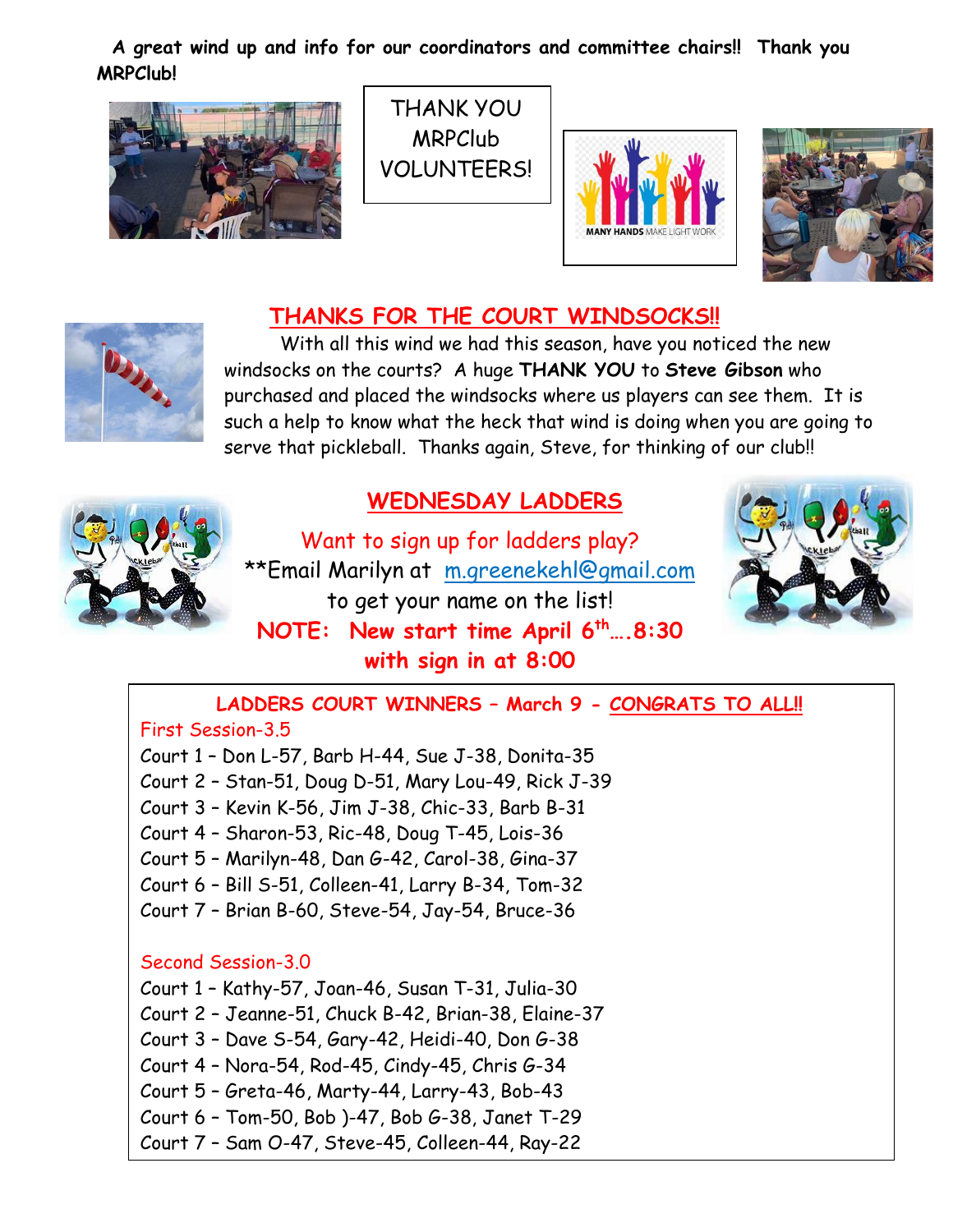**A great wind up and info for our coordinators and committee chairs!! Thank you MRPClub!**



THANK YOU MRPClub VOLUNTEERS!





## **THANKS FOR THE COURT WINDSOCKS!!**



With all this wind we had this season, have you noticed the new windsocks on the courts? A huge **THANK YOU** to **Steve Gibson** who purchased and placed the windsocks where us players can see them. It is such a help to know what the heck that wind is doing when you are going to serve that pickleball. Thanks again, Steve, for thinking of our club!!



## **WEDNESDAY LADDERS**

Want to sign up for ladders play? \*\*Email Marilyn at [m.greenekehl@gmail.com](mailto:m.greenekehl@gmail.com) to get your name on the list! **NOTE: New start time April 6th….8:30 with sign in at 8:00**



## **LADDERS COURT WINNERS – March 9 - CONGRATS TO ALL!!**

#### First Session-3.5

Court 1 – Don L-57, Barb H-44, Sue J-38, Donita-35

Court 2 – Stan-51, Doug D-51, Mary Lou-49, Rick J-39

Court 3 – Kevin K-56, Jim J-38, Chic-33, Barb B-31

- Court 4 Sharon-53, Ric-48, Doug T-45, Lois-36
- Court 5 Marilyn-48, Dan G-42, Carol-38, Gina-37
- Court 6 Bill S-51, Colleen-41, Larry B-34, Tom-32
- Court 7 Brian B-60, Steve-54, Jay-54, Bruce-36

#### Second Session-3.0

Court 1 – Kathy-57, Joan-46, Susan T-31, Julia-30 Court 2 – Jeanne-51, Chuck B-42, Brian-38, Elaine-37 Court 3 – Dave S-54, Gary-42, Heidi-40, Don G-38 Court 4 – Nora-54, Rod-45, Cindy-45, Chris G-34 Court 5 – Greta-46, Marty-44, Larry-43, Bob-43 Court 6 – Tom-50, Bob )-47, Bob G-38, Janet T-29 Court 7 – Sam O-47, Steve-45, Colleen-44, Ray-22